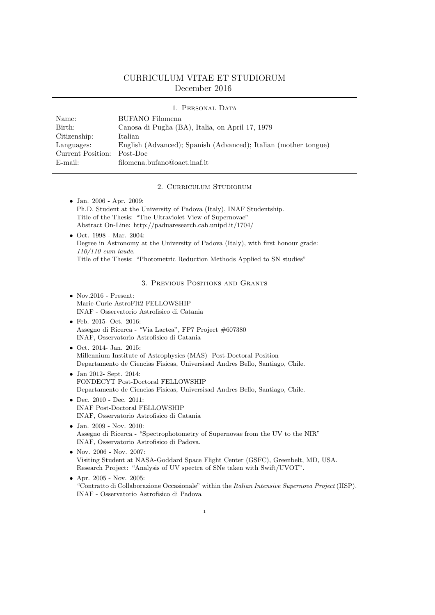## CURRICULUM VITAE ET STUDIORUM December 2016

|                   | 1. PERSONAL DATA                                                |
|-------------------|-----------------------------------------------------------------|
| Name:             | BUFANO Filomena                                                 |
| Birth:            | Canosa di Puglia (BA), Italia, on April 17, 1979                |
| Citizenship:      | Italian                                                         |
| Languages:        | English (Advanced); Spanish (Advanced); Italian (mother tongue) |
| Current Position: | Post-Doc                                                        |
| $E$ -mail:        | filomena.bufano@oact.inaf.it                                    |

2. Curriculum Studiorum

| $\bullet$ Jan. 2006 - Apr. 2009:<br>Ph.D. Student at the University of Padova (Italy), INAF Studentship.<br>Title of the Thesis: "The Ultraviolet View of Supernovae"<br>Abstract On-Line: http://paduaresearch.cab.unipd.it/1704/<br>$\bullet$ Oct. 1998 - Mar. 2004:<br>Degree in Astronomy at the University of Padova (Italy), with first honour grade:<br>$110/110$ cum laude. |
|-------------------------------------------------------------------------------------------------------------------------------------------------------------------------------------------------------------------------------------------------------------------------------------------------------------------------------------------------------------------------------------|
| Title of the Thesis: "Photometric Reduction Methods Applied to SN studies"                                                                                                                                                                                                                                                                                                          |
| 3. PREVIOUS POSITIONS AND GRANTS                                                                                                                                                                                                                                                                                                                                                    |
| • Nov. $2016$ - Present:<br>Marie-Curie AstroFIt2 FELLOWSHIP<br>INAF - Osservatorio Astrofisico di Catania                                                                                                                                                                                                                                                                          |
| • Feb. 2015- Oct. 2016:<br>Assegno di Ricerca - "Via Lactea", FP7 Project #607380<br>INAF, Osservatorio Astrofisico di Catania                                                                                                                                                                                                                                                      |
| • Oct. 2014- Jan. 2015:<br>Millennium Institute of Astrophysics (MAS) Post-Doctoral Position<br>Departamento de Ciencias Fisicas, Universisad Andres Bello, Santiago, Chile.                                                                                                                                                                                                        |
| • Jan 2012- Sept. 2014:<br>FONDECYT Post-Doctoral FELLOWSHIP<br>Departamento de Ciencias Fisicas, Universisad Andres Bello, Santiago, Chile.                                                                                                                                                                                                                                        |
| • Dec. $2010$ - Dec. $2011$ :<br><b>INAF Post-Doctoral FELLOWSHIP</b><br>INAF, Osservatorio Astrofisico di Catania                                                                                                                                                                                                                                                                  |
| • Jan. 2009 - Nov. 2010:<br>Assegno di Ricerca - "Spectrophotometry of Supernovae from the UV to the NIR"<br>INAF, Osservatorio Astrofisico di Padova.                                                                                                                                                                                                                              |
| • Nov. $2006 - Now. 2007$ :<br>Visiting Student at NASA-Goddard Space Flight Center (GSFC), Greenbelt, MD, USA.<br>Research Project: "Analysis of UV spectra of SNe taken with Swift/UVOT".                                                                                                                                                                                         |

 $\bullet$  Apr. 2005 - Nov. 2005: "Contratto di Collaborazione Occasionale" within the *Italian Intensive Supernova Project* (IISP). INAF - Osservatorio Astrofisico di Padova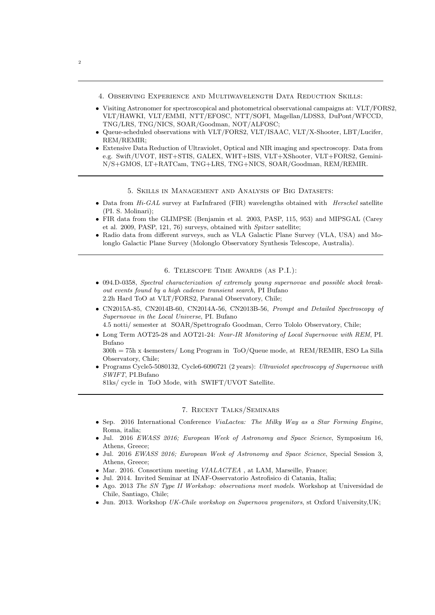- 4. Observing Experience and Multiwavelength Data Reduction Skills:
- Visiting Astronomer for spectroscopical and photometrical observational campaigns at: VLT/FORS2, VLT/HAWKI, VLT/EMMI, NTT/EFOSC, NTT/SOFI, Magellan/LDSS3, DuPont/WFCCD, TNG/LRS, TNG/NICS, SOAR/Goodman, NOT/ALFOSC;
- Queue-scheduled observations with VLT/FORS2, VLT/ISAAC, VLT/X-Shooter, LBT/Lucifer, REM/REMIR;
- Extensive Data Reduction of Ultraviolet, Optical and NIR imaging and spectroscopy. Data from e.g. Swift/UVOT, HST+STIS, GALEX, WHT+ISIS, VLT+XShooter, VLT+FORS2, Gemini-N/S+GMOS, LT+RATCam, TNG+LRS, TNG+NICS, SOAR/Goodman, REM/REMIR.

5. Skills in Management and Analysis of Big Datasets:

- Data from *Hi-GAL* survey at FarInfrared (FIR) wavelengths obtained with *Herschel* satellite (PI. S. Molinari);
- FIR data from the GLIMPSE (Benjamin et al. 2003, PASP, 115, 953) and MIPSGAL (Carey et al. 2009, PASP, 121, 76) surveys, obtained with *Spitzer* satellite;
- Radio data from different surveys, such as VLA Galactic Plane Survey (VLA, USA) and Molonglo Galactic Plane Survey (Molonglo Observatory Synthesis Telescope, Australia).

6. Telescope Time Awards (as P.I.):

- 094.D-0358, *Spectral characterization of extremely young supernovae and possible shock breakout events found by a high cadence transient search*, PI Bufano 2.2h Hard ToO at VLT/FORS2, Paranal Observatory, Chile;
- CN2015A-85, CN2014B-60, CN2014A-56, CN2013B-56, *Prompt and Detailed Spectroscopy of Supernovae in the Local Universe*, PI. Bufano

4.5 notti/ semester at SOAR/Spettrografo Goodman, Cerro Tololo Observatory, Chile;

• Long Term AOT25-28 and AOT21-24: *Near-IR Monitoring of Local Supernovae with REM*, PI. Bufano

300h = 75h x 4semesters/ Long Program in ToO/Queue mode, at REM/REMIR, ESO La Silla Observatory, Chile;

• Programs Cycle5-5080132, Cycle6-6090721 (2 years): *Ultraviolet spectroscopy of Supernovae with SWIFT*, PI.Bufano

81ks/ cycle in ToO Mode, with SWIFT/UVOT Satellite.

## 7. Recent Talks/Seminars

- Sep. 2016 International Conference *ViaLactea: The Milky Way as a Star Forming Engine*, Roma, italia;
- Jul. 2016 *EWASS 2016; European Week of Astronomy and Space Science*, Symposium 16, Athens, Greece;
- Jul. 2016 *EWASS 2016; European Week of Astronomy and Space Science*, Special Session 3, Athens, Greece;
- Mar. 2016. Consortium meeting *VIALACTEA* , at LAM, Marseille, France;
- Jul. 2014. Invited Seminar at INAF-Osservatorio Astrofisico di Catania, Italia;
- Ago. 2013 *The SN Type II Workshop: observations meet models*. Workshop at Universidad de Chile, Santiago, Chile;
- Jun. 2013. Workshop *UK-Chile workshop on Supernova progenitors*, st Oxford University,UK;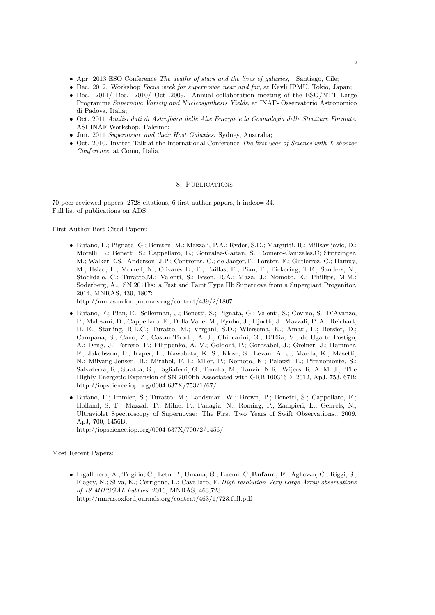- Apr. 2013 ESO Conference *The deaths of stars and the lives of galaxies,* , Santiago, Cile;
- Dec. 2012. Workshop *Focus week for supernovae near and far*, at Kavli IPMU, Tokio, Japan;
- Dec. 2011/ Dec. 2010/ Oct .2009. Annual collaboration meeting of the ESO/NTT Large Programme *Supernova Variety and Nucleosynthesis Yields*, at INAF- Osservatorio Astronomico di Padova, Italia;
- Oct. 2011 *Analisi dati di Astrofisica delle Alte Energie e la Cosmologia delle Strutture Formate*. ASI-INAF Workshop. Palermo;
- Jun. 2011 *Supernovae and their Host Galaxies*. Sydney, Australia;
- Oct. 2010. Invited Talk at the International Conference *The first year of Science with X-shooter Conference*, at Como, Italia.

## 8. Publications

70 peer reviewed papers, 2728 citations, 6 first-author papers, h-index= 34. Full list of publications on ADS.

First Author Best Cited Papers:

• Bufano, F.; Pignata, G.; Bersten, M.; Mazzali, P.A.; Ryder, S.D.; Margutti, R.; Milisavljevic, D.; Morelli, L.; Benetti, S.; Cappellaro, E.; Gonzalez-Gaitan, S.; Romero-Canizales,C; Stritzinger, M.; Walker,E.S.; Anderson, J.P.; Contreras, C.; de Jaeger,T.; Forster, F.; Gutierrez, C.; Hamuy, M.; Hsiao, E.; Morrell, N.; Olivares E., F.; Paillas, E.; Pian, E.; Pickering, T.E.; Sanders, N.; Stockdale, C.; Turatto,M.; Valenti, S.; Fesen, R.A.; Maza, J.; Nomoto, K.; Phillips, M.M.; Soderberg, A., SN 2011hs: a Fast and Faint Type IIb Supernova from a Supergiant Progenitor, 2014, MNRAS, 439, 1807;

http://mnras.oxfordjournals.org/content/439/2/1807

- Bufano, F.; Pian, E.; Sollerman, J.; Benetti, S.; Pignata, G.; Valenti, S.; Covino, S.; D'Avanzo, P.; Malesani, D.; Cappellaro, E.; Della Valle, M.; Fynbo, J.; Hjorth, J.; Mazzali, P. A.; Reichart, D. E.; Starling, R.L.C.; Turatto, M.; Vergani, S.D.; Wiersema, K.; Amati, L.; Bersier, D.; Campana, S.; Cano, Z.; Castro-Tirado, A. J.; Chincarini, G.; D'Elia, V.; de Ugarte Postigo, A.; Deng, J.; Ferrero, P.; Filippenko, A. V.; Goldoni, P.; Gorosabel, J.; Greiner, J.; Hammer, F.; Jakobsson, P.; Kaper, L.; Kawabata, K. S.; Klose, S.; Levan, A. J.; Maeda, K.; Masetti, N.; Milvang-Jensen, B.; Mirabel, F. I.; Mller, P.; Nomoto, K.; Palazzi, E.; Piranomonte, S.; Salvaterra, R.; Stratta, G.; Tagliaferri, G.; Tanaka, M.; Tanvir, N.R.; Wijers, R. A. M. J., The Highly Energetic Expansion of SN 2010bh Associated with GRB 100316D, 2012, ApJ, 753, 67B; http://iopscience.iop.org/0004-637X/753/1/67/
- Bufano, F.; Immler, S.; Turatto, M.; Landsman, W.; Brown, P.; Benetti, S.; Cappellaro, E.; Holland, S. T.; Mazzali, P.; Milne, P.; Panagia, N.; Roming, P.; Zampieri, L.; Gehrels, N., Ultraviolet Spectroscopy of Supernovae: The First Two Years of Swift Observations., 2009, ApJ, 700, 1456B; http://iopscience.iop.org/0004-637X/700/2/1456/

Most Recent Papers:

• Ingallinera, A.; Trigilio, C.; Leto, P.; Umana, G.; Buemi, C.;Bufano, F.; Agliozzo, C.; Riggi, S.; Flagey, N.; Silva, K.; Cerrigone, L.; Cavallaro, F. *High-resolution Very Large Array observations of 18 MIPSGAL bubbles*, 2016, MNRAS, 463,723 http://mnras.oxfordjournals.org/content/463/1/723.full.pdf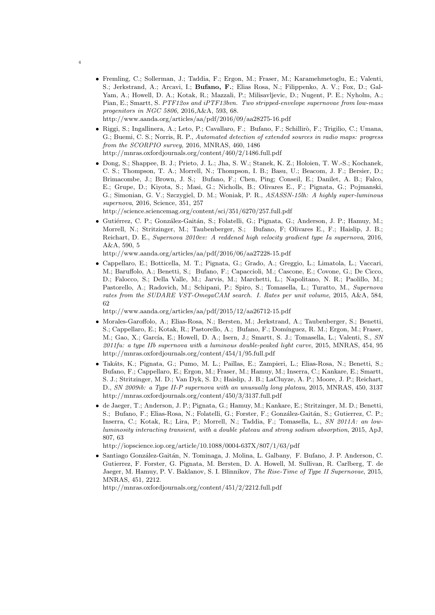- Fremling, C.; Sollerman, J.; Taddia, F.; Ergon, M.; Fraser, M.; Karamehmetoglu, E.; Valenti, S.; Jerkstrand, A.; Arcavi, I.; Bufano, F.; Elias Rosa, N.; Filippenko, A. V.; Fox, D.; Gal-Yam, A.; Howell, D. A.; Kotak, R.; Mazzali, P.; Milisavljevic, D.; Nugent, P. E.; Nyholm, A.; Pian, E.; Smartt, S. *PTF12os and iPTF13bvn. Two stripped-envelope supernovae from low-mass progenitors in NGC 5806*, 2016,A&A, 593, 68. http://www.aanda.org/articles/aa/pdf/2016/09/aa28275-16.pdf
- Riggi, S.; Ingallinera, A.; Leto, P.; Cavallaro, F.; Bufano, F.; Schillirò, F.; Trigilio, C.; Umana, G.; Buemi, C. S.; Norris, R. P., *Automated detection of extended sources in radio maps: progress from the SCORPIO survey*, 2016, MNRAS, 460, 1486 http://mnras.oxfordjournals.org/content/460/2/1486.full.pdf
- Dong, S.; Shappee, B. J.; Prieto, J. L.; Jha, S. W.; Stanek, K. Z.; Holoien, T. W.-S.; Kochanek, C. S.; Thompson, T. A.; Morrell, N.; Thompson, I. B.; Basu, U.; Beacom, J. F.; Bersier, D.; Brimacombe, J.; Brown, J. S.; Bufano, F.; Chen, Ping; Conseil, E.; Danilet, A. B.; Falco, E.; Grupe, D.; Kiyota, S.; Masi, G.; Nicholls, B.; Olivares E., F.; Pignata, G.; Pojmanski, G.; Simonian, G. V.; Szczygiel, D. M.; Woniak, P. R., *ASASSN-15lh: A highly super-luminous supernova*, 2016, Science, 351, 257

http://science.sciencemag.org/content/sci/351/6270/257.full.pdf

• Gutiérrez, C. P.; González-Gaitán, S.; Folatelli, G.; Pignata, G.; Anderson, J. P.; Hamuy, M.; Morrell, N.; Stritzinger, M.; Taubenberger, S.; Bufano, F; Olivares E., F.; Haislip, J. B.; Reichart, D. E., *Supernova 2010ev: A reddened high velocity gradient type Ia supernova*, 2016, A&A, 590, 5

http://www.aanda.org/articles/aa/pdf/2016/06/aa27228-15.pdf

• Cappellaro, E.; Botticella, M. T.; Pignata, G.; Grado, A.; Greggio, L.; Limatola, L.; Vaccari, M.; Baruffolo, A.; Benetti, S.; Bufano, F.; Capaccioli, M.; Cascone, E.; Covone, G.; De Cicco, D.; Falocco, S.; Della Valle, M.; Jarvis, M.; Marchetti, L.; Napolitano, N. R.; Paolillo, M.; Pastorello, A.; Radovich, M.; Schipani, P.; Spiro, S.; Tomasella, L.; Turatto, M., *Supernova rates from the SUDARE VST-OmegaCAM search. I. Rates per unit volume*, 2015, A&A, 584, 62

http://www.aanda.org/articles/aa/pdf/2015/12/aa26712-15.pdf

- Morales-Garoffolo, A.; Elias-Rosa, N.; Bersten, M.; Jerkstrand, A.; Taubenberger, S.; Benetti, S.; Cappellaro, E.; Kotak, R.; Pastorello, A.; Bufano, F.; Domínguez, R. M.; Ergon, M.; Fraser, M.; Gao, X.; García, E.; Howell, D. A.; Isern, J.; Smartt, S. J.; Tomasella, L.; Valenti, S., *SN 2011fu: a type IIb supernova with a luminous double-peaked light curve*, 2015, MNRAS, 454, 95 http://mnras.oxfordjournals.org/content/454/1/95.full.pdf
- Tak´ats, K.; Pignata, G.; Pumo, M. L.; Paillas, E.; Zampieri, L.; Elias-Rosa, N.; Benetti, S.; Bufano, F.; Cappellaro, E.; Ergon, M.; Fraser, M.; Hamuy, M.; Inserra, C.; Kankare, E.; Smartt, S. J.; Stritzinger, M. D.; Van Dyk, S. D.; Haislip, J. B.; LaCluyze, A. P.; Moore, J. P.; Reichart, D., *SN 2009ib: a Type II-P supernova with an unusually long plateau*, 2015, MNRAS, 450, 3137 http://mnras.oxfordjournals.org/content/450/3/3137.full.pdf
- de Jaeger, T.; Anderson, J. P.; Pignata, G.; Hamuy, M.; Kankare, E.; Stritzinger, M. D.; Benetti, S.; Bufano, F.; Elias-Rosa, N.; Folatelli, G.; Forster, F.; González-Gaitán, S.; Gutierrez, C. P.; Inserra, C.; Kotak, R.; Lira, P.; Morrell, N.; Taddia, F.; Tomasella, L., *SN 2011A: an lowluminosity interacting transient, with a double plateau and strong sodium absorption*, 2015, ApJ, 807, 63

http://iopscience.iop.org/article/10.1088/0004-637X/807/1/63/pdf

• Santiago Gonz´alez-Gait´an, N. Tominaga, J. Molina, L. Galbany, F. Bufano, J. P. Anderson, C. Gutierrez, F. Forster, G. Pignata, M. Bersten, D. A. Howell, M. Sullivan, R. Carlberg, T. de Jaeger, M. Hamuy, P. V. Baklanov, S. I. Blinnikov, *The Rise-Time of Type II Supernovae*, 2015, MNRAS, 451, 2212.

http://mnras.oxfordjournals.org/content/451/2/2212.full.pdf

4